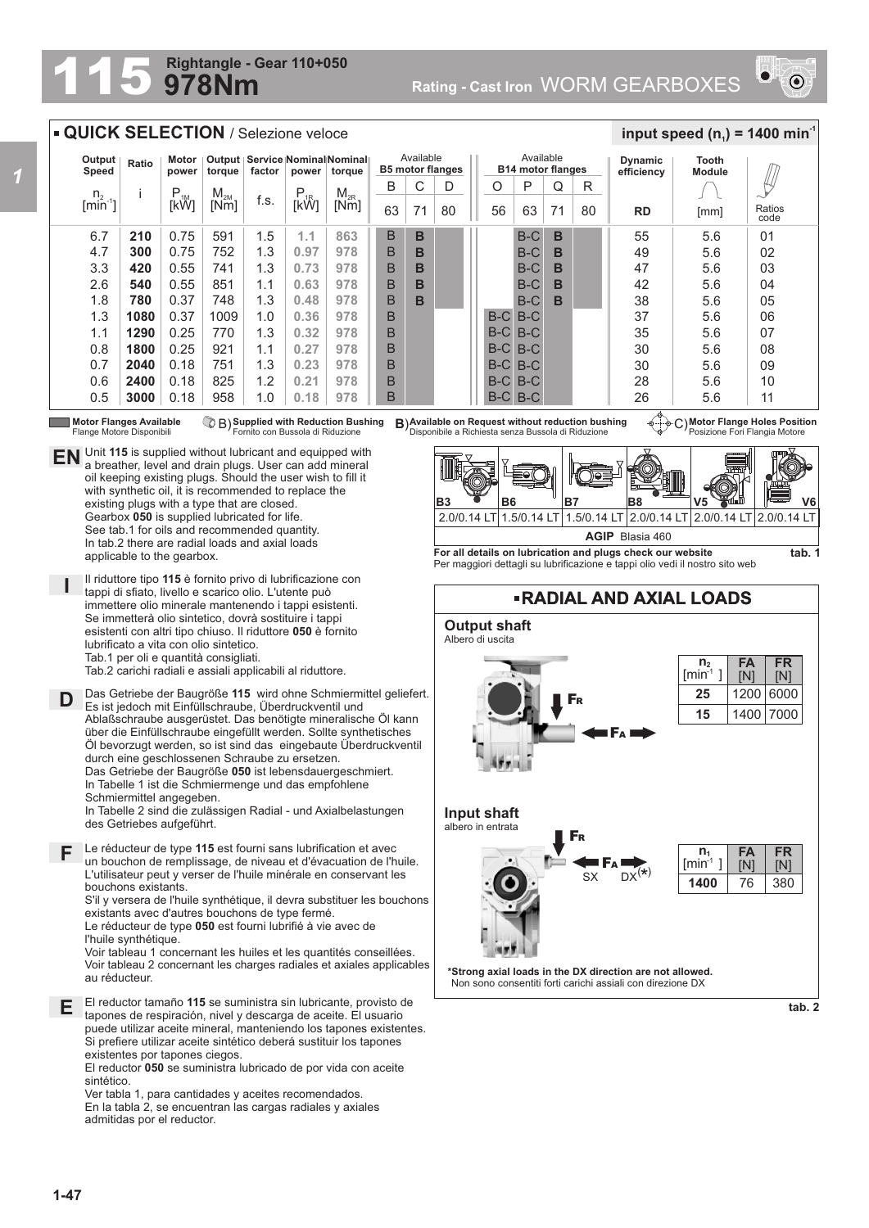## **978Nm Rightangle - Gear 110+050**

**Rating - Cast Iron WORM GEARBOXES** 



## **QUICK SELECTION / Selezione veloce**

| Output<br>Speed             | Ratio | Motor<br>power | torque          | factor | power       | Output   Service   Nominal   Nominal   <br>torque |    | Available | <b>B5 motor flanges</b> |       | Available<br><b>B14 motor flanges</b> |    |    | <b>Dynamic</b><br>efficiency | Tooth<br><b>Module</b> |                |
|-----------------------------|-------|----------------|-----------------|--------|-------------|---------------------------------------------------|----|-----------|-------------------------|-------|---------------------------------------|----|----|------------------------------|------------------------|----------------|
| n <sub>2</sub>              |       | $P_{1M}$       | M <sub>2M</sub> |        | $P_{1R}$    | $M_{2R}$                                          | B  | U         |                         | O     | P                                     | Q  | R  |                              |                        |                |
| $\left[\text{min}^2\right]$ |       | <b>TKWT</b>    | [Nm]            | f.s.   | <b>TKWT</b> | [Nm]                                              | 63 | 71        | 80                      | 56    | 63                                    | 71 | 80 | <b>RD</b>                    | [mm]                   | Ratios<br>code |
| 6.7                         | 210   | 0.75           | 591             | 1.5    | 1.1         | 863                                               | B  | B         |                         |       | $B-C$                                 | в  |    | 55                           | 5.6                    | 01             |
| 4.7                         | 300   | 0.75           | 752             | 1.3    | 0.97        | 978                                               | B  | B         |                         |       | $B-C$                                 | в  |    | 49                           | 5.6                    | 02             |
| 3.3                         | 420   | 0.55           | 741             | 1.3    | 0.73        | 978                                               | B  | в         |                         |       | $B-C$                                 | в  |    | 47                           | 5.6                    | 03             |
| 2.6                         | 540   | 0.55           | 851             | 1.1    | 0.63        | 978                                               | B  | в         |                         |       | $B-C$                                 | B  |    | 42                           | 5.6                    | 04             |
| 1.8                         | 780   | 0.37           | 748             | 1.3    | 0.48        | 978                                               | B  | в         |                         |       | $B-C$                                 | в  |    | 38                           | 5.6                    | 05             |
| 1.3                         | 1080  | 0.37           | 1009            | 1.0    | 0.36        | 978                                               | B  |           |                         | $B-C$ | $B-C$                                 |    |    | 37                           | 5.6                    | 06             |
| 4<br>1.1                    | 1290  | 0.25           | 770             | 1.3    | 0.32        | 978                                               | B  |           |                         | $B-C$ | $B-C$                                 |    |    | 35                           | 5.6                    | 07             |
| 0.8                         | 1800  | 0.25           | 921             | 1.1    | 0.27        | 978                                               | B  |           |                         | $B-C$ | $B-C$                                 |    |    | 30                           | 5.6                    | 08             |
| 0.7                         | 2040  | 0.18           | 751             | 1.3    | 0.23        | 978                                               | B  |           |                         |       | B-C B-C                               |    |    | 30                           | 5.6                    | 09             |
| 0.6                         | 2400  | 0.18           | 825             | 1.2    | 0.21        | 978                                               | B  |           |                         |       | B-C B-C                               |    |    | 28                           | 5.6                    | 10             |
| 0.5                         | 3000  | 0.18           | 958             | 1.0    | 0.18        | 978                                               | B  |           |                         |       | B-C B-C                               |    |    | 26                           | 5.6                    | 11             |

Flange Motore Disponibili

*1*

**Motor Flanges Available ① B) Supplied with Reduction Bushing B)Available on Request without reduction bushing ④……<br>Flange Motore Disponibili Fornito con Bussola di Riduzione Disponibile a Richiesta senza Bu Supplied with Reduction Bushing** Fornito con Bussola di Riduzione B) **B**)

**Motor Flange Holes Position** Posizione Fori Flangia Motore

 $\frac{1}{2}$  **input speed (n**<sub>1</sub>) = 1400 min<sup>-1</sup>



**For all details on lubrication and plugs check our website**  Per maggiori dettagli su lubrificazione e tappi olio vedi il nostro sito web



**I** existing plugs with a type that are closed. Gearbox **050** is supplied lubricated for life. See tab.1 for oils and recommended quantity. In tab.2 there are radial loads and axial loads applicable to the gearbox. Il riduttore tipo **115** è fornito privo di lubrificazione con tappi di sfiato, livello e scarico olio. L'utente può immettere olio minerale mantenendo i tappi esistenti. Se immetterà olio sintetico, dovrà sostituire i tappi esistenti con altri tipo chiuso. Il riduttore **050** è fornito lubrificato a vita con olio sintetico.

**EN** Unit 115 is supplied without lubricant and equipped with a breather, level and drain plugs. User can add mineral

a breather, level and drain plugs. User can add mineral oil keeping existing plugs. Should the user wish to fill it with synthetic oil, it is recommended to replace the

Tab.1 per oli e quantità consigliati.

Tab.2 carichi radiali e assiali applicabili al riduttore.

**D** Das Getriebe der Baugröße **115** wird ohne Schmiermittel geliefert. Es ist jedoch mit Einfüllschraube, Überdruckventil und Ablaßschraube ausgerüstet. Das benötigte mineralische Öl kann über die Einfüllschraube eingefüllt werden. Sollte synthetisches Öl bevorzugt werden, so ist sind das eingebaute Überdruckventil durch eine geschlossenen Schraube zu ersetzen. Das Getriebe der Baugröße **050** ist lebensdauergeschmiert. In Tabelle 1 ist die Schmiermenge und das empfohlene Schmiermittel angegeben. In Tabelle 2 sind die zulässigen Radial - und Axialbelastungen

des Getriebes aufgeführt.

Le réducteur de type **115** est fourni sans lubrification et avec un bouchon de remplissage, de niveau et d'évacuation de l'huile. L'utilisateur peut y verser de l'huile minérale en conservant les bouchons existants. **F**

S'il y versera de l'huile synthétique, il devra substituer les bouchons existants avec d'autres bouchons de type fermé.

Le réducteur de type **050** est fourni lubrifié à vie avec de l'huile synthétique.

Voir tableau 1 concernant les huiles et les quantités conseillées. Voir tableau 2 concernant les charges radiales et axiales applicables au réducteur.

El reductor tamaño **115** se suministra sin lubricante, provisto de **E** tapones de respiración, nivel y descarga de aceite. El usuario puede utilizar aceite mineral, manteniendo los tapones existentes. Si prefiere utilizar aceite sintético deberá sustituir los tapones existentes por tapones ciegos.

El reductor **050** se suministra lubricado de por vida con aceite sintético.

Ver tabla 1, para cantidades y aceites recomendados. En la tabla 2, se encuentran las cargas radiales y axiales admitidas por el reductor.